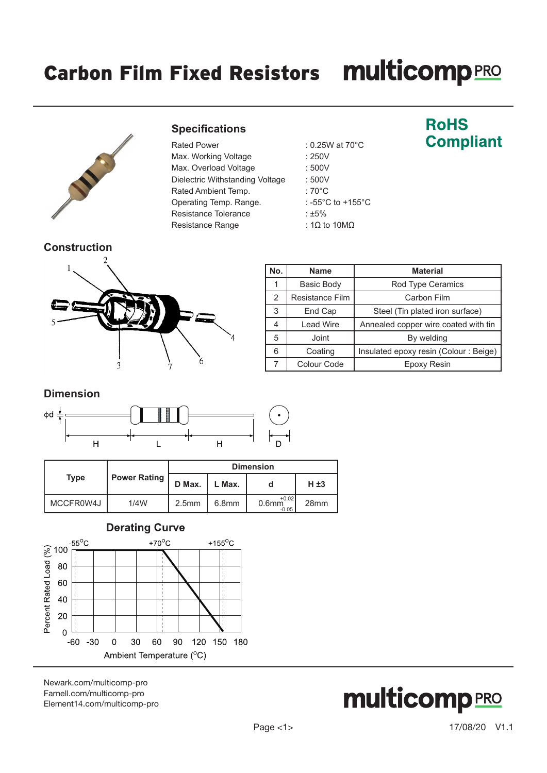# Carbon Film Fixed Resistors multicompRRO



#### **Specifications**

| Rated Power                     |
|---------------------------------|
| Max. Working Voltage            |
| Max. Overload Voltage           |
| Dielectric Withstanding Voltage |
| Rated Ambient Temp.             |
| Operating Temp. Range.          |
| Resistance Tolerance            |
| Resistance Range                |

: 0.25W at 70°C  $: 250V$  $: 500V$  $\dot{e}$  : 500V  $:70^{\circ}$ C : -55°C to +155°C :  $±5%$ : 1Ω to 10MΩ

### **RoHS Compliant**



| No. | <b>Name</b>       | <b>Material</b>                       |
|-----|-------------------|---------------------------------------|
|     | <b>Basic Body</b> | Rod Type Ceramics                     |
| 2   | Resistance Film   | Carbon Film                           |
| 3   | End Cap           | Steel (Tin plated iron surface)       |
|     | <b>Lead Wire</b>  | Annealed copper wire coated with tin  |
| 5   | Joint             | By welding                            |
| 6   | Coating           | Insulated epoxy resin (Colour: Beige) |
|     | Colour Code       | Epoxy Resin                           |

#### **Dimension**



|             |                     | <b>Dimension</b>  |                   |                                |                  |  |
|-------------|---------------------|-------------------|-------------------|--------------------------------|------------------|--|
| <b>Type</b> | <b>Power Rating</b> | D Max.            | L Max.            |                                | $H \pm 3$        |  |
| MCCFR0W4J   | 1/4W                | 2.5 <sub>mm</sub> | 6.8 <sub>mm</sub> | $+0.02$<br>$0.6$ mm<br>$-0.05$ | 28 <sub>mm</sub> |  |



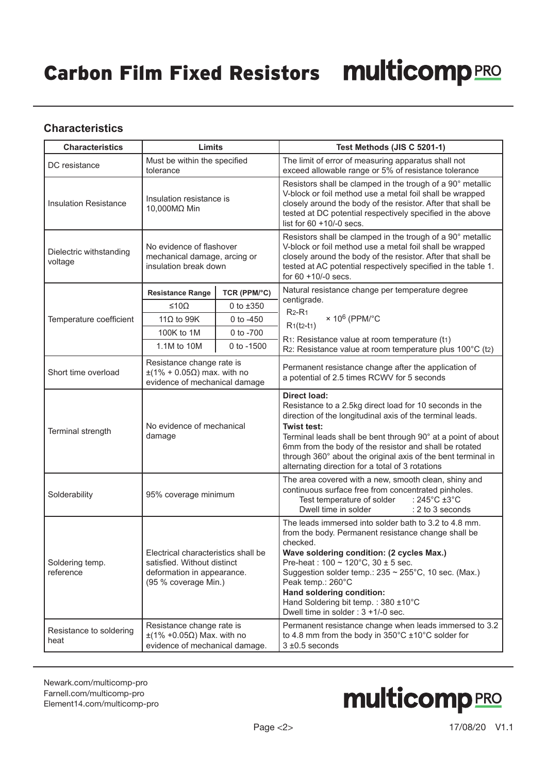#### **Characteristics**

| <b>Characteristics</b>                                                                                                        | Limits                                                                                                                   |                | Test Methods (JIS C 5201-1)                                                                                                                                                                                                                                                                                                                                                                                                         |  |  |
|-------------------------------------------------------------------------------------------------------------------------------|--------------------------------------------------------------------------------------------------------------------------|----------------|-------------------------------------------------------------------------------------------------------------------------------------------------------------------------------------------------------------------------------------------------------------------------------------------------------------------------------------------------------------------------------------------------------------------------------------|--|--|
| DC resistance                                                                                                                 | Must be within the specified<br>tolerance                                                                                |                | The limit of error of measuring apparatus shall not<br>exceed allowable range or 5% of resistance tolerance                                                                                                                                                                                                                                                                                                                         |  |  |
| <b>Insulation Resistance</b>                                                                                                  | Insulation resistance is<br>10,000MΩ Min                                                                                 |                | Resistors shall be clamped in the trough of a 90° metallic<br>V-block or foil method use a metal foil shall be wrapped<br>closely around the body of the resistor. After that shall be<br>tested at DC potential respectively specified in the above<br>list for $60 + 10/-0$ secs.                                                                                                                                                 |  |  |
| Dielectric withstanding<br>voltage                                                                                            | No evidence of flashover<br>mechanical damage, arcing or<br>insulation break down                                        |                | Resistors shall be clamped in the trough of a 90° metallic<br>V-block or foil method use a metal foil shall be wrapped<br>closely around the body of the resistor. After that shall be<br>tested at AC potential respectively specified in the table 1.<br>for $60 + 10/-0$ secs.                                                                                                                                                   |  |  |
|                                                                                                                               | <b>Resistance Range</b>                                                                                                  | TCR (PPM/°C)   | Natural resistance change per temperature degree                                                                                                                                                                                                                                                                                                                                                                                    |  |  |
|                                                                                                                               | ≤10Ω                                                                                                                     | 0 to $±350$    | centigrade.<br>$R2-R1$                                                                                                                                                                                                                                                                                                                                                                                                              |  |  |
| Temperature coefficient                                                                                                       | 11 $\Omega$ to 99K                                                                                                       | 0 to $-450$    | $\times$ 10 <sup>6</sup> (PPM/°C<br>$R1(t2-t1)$                                                                                                                                                                                                                                                                                                                                                                                     |  |  |
|                                                                                                                               | 100K to 1M                                                                                                               | 0 to -700      | R1: Resistance value at room temperature (t1)                                                                                                                                                                                                                                                                                                                                                                                       |  |  |
|                                                                                                                               | 1.1M to 10M                                                                                                              | $0$ to $-1500$ | R2: Resistance value at room temperature plus 100°C (t2)                                                                                                                                                                                                                                                                                                                                                                            |  |  |
| Resistance change rate is<br>$\pm$ (1% + 0.05 $\Omega$ ) max. with no<br>Short time overload<br>evidence of mechanical damage |                                                                                                                          |                | Permanent resistance change after the application of<br>a potential of 2.5 times RCWV for 5 seconds                                                                                                                                                                                                                                                                                                                                 |  |  |
| Terminal strength                                                                                                             | No evidence of mechanical<br>damage                                                                                      |                | <b>Direct load:</b><br>Resistance to a 2.5kg direct load for 10 seconds in the<br>direction of the longitudinal axis of the terminal leads.<br><b>Twist test:</b><br>Terminal leads shall be bent through 90° at a point of about<br>6mm from the body of the resistor and shall be rotated<br>through 360° about the original axis of the bent terminal in<br>alternating direction for a total of 3 rotations                     |  |  |
| Solderability<br>95% coverage minimum                                                                                         |                                                                                                                          |                | The area covered with a new, smooth clean, shiny and<br>continuous surface free from concentrated pinholes.<br>Test temperature of solder<br>: 245 $^{\circ}$ C ±3 $^{\circ}$ C<br>Dwell time in solder<br>: 2 to 3 seconds                                                                                                                                                                                                         |  |  |
| Soldering temp.<br>reference                                                                                                  | Electrical characteristics shall be<br>satisfied. Without distinct<br>deformation in appearance.<br>(95 % coverage Min.) |                | The leads immersed into solder bath to 3.2 to 4.8 mm.<br>from the body. Permanent resistance change shall be<br>checked.<br>Wave soldering condition: (2 cycles Max.)<br>Pre-heat: $100 \sim 120^{\circ}$ C, $30 \pm 5$ sec.<br>Suggestion solder temp.: $235 \approx 255^{\circ}$ C, 10 sec. (Max.)<br>Peak temp.: 260°C<br>Hand soldering condition:<br>Hand Soldering bit temp.: 380 ±10°C<br>Dwell time in solder: 3 +1/-0 sec. |  |  |
| Resistance to soldering<br>heat                                                                                               | Resistance change rate is<br>$\pm$ (1% +0.05 $\Omega$ ) Max. with no<br>evidence of mechanical damage.                   |                | Permanent resistance change when leads immersed to 3.2<br>to 4.8 mm from the body in $350^{\circ}$ C $\pm$ 10°C solder for<br>$3 \pm 0.5$ seconds                                                                                                                                                                                                                                                                                   |  |  |

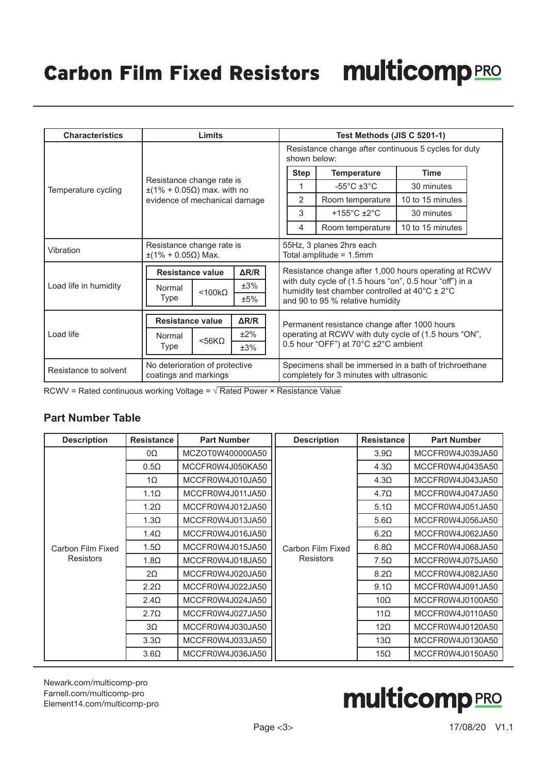| <b>Characteristics</b> | Limits                                                                                       | Test Methods (JIS C 5201-1)                                                                                                                                                                             |  |  |  |
|------------------------|----------------------------------------------------------------------------------------------|---------------------------------------------------------------------------------------------------------------------------------------------------------------------------------------------------------|--|--|--|
|                        |                                                                                              | Resistance change after continuous 5 cycles for duty<br>shown below:                                                                                                                                    |  |  |  |
|                        |                                                                                              | <b>Step</b><br><b>Temperature</b><br><b>Time</b>                                                                                                                                                        |  |  |  |
| Temperature cycling    | Resistance change rate is<br>$\pm$ (1% + 0.05 $\Omega$ ) max. with no                        | -55 $^{\circ}$ C $\pm$ 3 $^{\circ}$ C<br>30 minutes                                                                                                                                                     |  |  |  |
|                        | evidence of mechanical damage                                                                | $\overline{2}$<br>Room temperature<br>10 to 15 minutes                                                                                                                                                  |  |  |  |
|                        |                                                                                              | 3<br>+155 $\degree$ C ±2 $\degree$ C<br>30 minutes                                                                                                                                                      |  |  |  |
|                        |                                                                                              | 10 to 15 minutes<br>Room temperature<br>4                                                                                                                                                               |  |  |  |
| Vibration              | Resistance change rate is<br>$±$ (1% + 0.05Ω) Max.                                           | 55Hz, 3 planes 2hrs each<br>Total amplitude = 1.5mm                                                                                                                                                     |  |  |  |
| Load life in humidity  | $\Delta$ R/R<br><b>Resistance value</b><br>±3%<br>Normal<br>$<$ 100 $k\Omega$<br>Type<br>±5% | Resistance change after 1,000 hours operating at RCWV<br>with duty cycle of (1.5 hours "on", 0.5 hour "off") in a<br>humidity test chamber controlled at 40°C ± 2°C<br>and 90 to 95 % relative humidity |  |  |  |
| Load life              | $\Delta$ R/R<br><b>Resistance value</b><br>±2%<br>Normal<br>$<$ 56KQ<br>Type<br>±3%          | Permanent resistance change after 1000 hours<br>operating at RCWV with duty cycle of (1.5 hours "ON",<br>0.5 hour "OFF") at 70°C ±2°C ambient                                                           |  |  |  |
| Resistance to solvent  | No deterioration of protective<br>coatings and markings                                      | Specimens shall be immersed in a bath of trichroethane<br>completely for 3 minutes with ultrasonic                                                                                                      |  |  |  |

RCWV = Rated continuous working Voltage =  $\sqrt{\text{Rated Power x}$  Resistance Value

#### **Part Number Table**

| <b>Description</b> | <b>Resistance</b> | <b>Part Number</b> | <b>Description</b>                    | <b>Resistance</b>                                    | <b>Part Number</b> |
|--------------------|-------------------|--------------------|---------------------------------------|------------------------------------------------------|--------------------|
|                    | 0Ω                | MCZOT0W400000A50   |                                       | $3.9\Omega$                                          | MCCFR0W4J039JA50   |
|                    | $0.5\Omega$       | MCCFR0W4J050KA50   |                                       | 4.3 <omega< td=""><td>MCCFR0W4J0435A50</td></omega<> | MCCFR0W4J0435A50   |
|                    | 1 $\Omega$        | MCCFR0W4J010JA50   |                                       | 4.3 <omega< td=""><td>MCCFR0W4J043JA50</td></omega<> | MCCFR0W4J043JA50   |
|                    | $1.1\Omega$       | MCCFR0W4J011JA50   |                                       | $4.7\Omega$                                          | MCCFR0W4J047JA50   |
|                    | 1.2 $\Omega$      | MCCFR0W4J012JA50   |                                       | $5.1\Omega$                                          | MCCFR0W4J051JA50   |
|                    | $1.3\Omega$       | MCCFR0W4J013JA50   |                                       | $5.6\Omega$                                          | MCCFR0W4J056JA50   |
|                    | $1.4\Omega$       | MCCFR0W4J016JA50   | Carbon Film Fixed<br><b>Resistors</b> | $6.2\Omega$                                          | MCCFR0W4J062JA50   |
| Carbon Film Fixed  | $1.5\Omega$       | MCCFR0W4J015JA50   |                                       | $6.8\Omega$                                          | MCCFR0W4J068JA50   |
| <b>Resistors</b>   | $1.8\Omega$       | MCCFR0W4J018JA50   |                                       | $7.5\Omega$                                          | MCCFR0W4J075JA50   |
|                    | $2\Omega$         | MCCFR0W4J020JA50   |                                       | $8.2\Omega$                                          | MCCFR0W4J082JA50   |
|                    | $2.2\Omega$       | MCCFR0W4J022JA50   |                                       | $9.1\Omega$                                          | MCCFR0W4J091JA50   |
|                    | $2.4\Omega$       | MCCFR0W4J024JA50   |                                       | $10\Omega$                                           | MCCFR0W4J0100A50   |
|                    | $2.7\Omega$       | MCCFR0W4J027JA50   |                                       | $11\Omega$                                           | MCCFR0W4J0110A50   |
|                    | $3\Omega$         | MCCFR0W4J030JA50   |                                       | $12\Omega$                                           | MCCFR0W4J0120A50   |
|                    | $3.3\Omega$       | MCCFR0W4J033JA50   |                                       | $13\Omega$                                           | MCCFR0W4J0130A50   |
|                    | $3.6\Omega$       | MCCFR0W4J036JA50   |                                       | 15 $\Omega$                                          | MCCFR0W4J0150A50   |

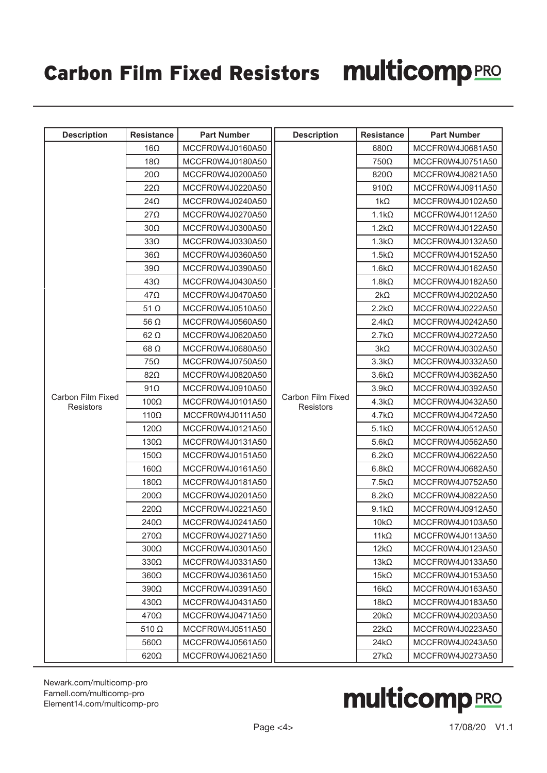## Carbon Film Fixed Resistors multicomp PRO

| <b>Description</b>                    | <b>Resistance</b>                                                 | <b>Part Number</b> | <b>Description</b>                    | <b>Resistance</b> | <b>Part Number</b> |
|---------------------------------------|-------------------------------------------------------------------|--------------------|---------------------------------------|-------------------|--------------------|
|                                       | $16\Omega$                                                        | MCCFR0W4J0160A50   |                                       | $680\Omega$       | MCCFR0W4J0681A50   |
|                                       | $18\Omega$                                                        | MCCFR0W4J0180A50   |                                       | $750\Omega$       | MCCFR0W4J0751A50   |
|                                       | $20\Omega$                                                        | MCCFR0W4J0200A50   |                                       | 820Ω              | MCCFR0W4J0821A50   |
|                                       | $22\Omega$                                                        | MCCFR0W4J0220A50   |                                       | $910\Omega$       | MCCFR0W4J0911A50   |
|                                       | $24\Omega$                                                        | MCCFR0W4J0240A50   |                                       | $1k\Omega$        | MCCFR0W4J0102A50   |
|                                       | $27\Omega$                                                        | MCCFR0W4J0270A50   |                                       | $1.1k\Omega$      | MCCFR0W4J0112A50   |
|                                       | $30\Omega$                                                        | MCCFR0W4J0300A50   |                                       | $1.2k\Omega$      | MCCFR0W4J0122A50   |
|                                       | $33\Omega$                                                        | MCCFR0W4J0330A50   |                                       | $1.3k\Omega$      | MCCFR0W4J0132A50   |
|                                       | $36\Omega$                                                        | MCCFR0W4J0360A50   |                                       | $1.5k\Omega$      | MCCFR0W4J0152A50   |
|                                       | $39\Omega$                                                        | MCCFR0W4J0390A50   |                                       | $1.6k\Omega$      | MCCFR0W4J0162A50   |
|                                       | $43\Omega$                                                        | MCCFR0W4J0430A50   |                                       | $1.8k\Omega$      | MCCFR0W4J0182A50   |
|                                       | $47\Omega$                                                        | MCCFR0W4J0470A50   |                                       | $2k\Omega$        | MCCFR0W4J0202A50   |
|                                       | 51 $\Omega$                                                       | MCCFR0W4J0510A50   |                                       | $2.2k\Omega$      | MCCFR0W4J0222A50   |
|                                       | 56 $\Omega$                                                       | MCCFR0W4J0560A50   |                                       | $2.4k\Omega$      | MCCFR0W4J0242A50   |
|                                       | $62 \Omega$                                                       | MCCFR0W4J0620A50   |                                       | $2.7k\Omega$      | MCCFR0W4J0272A50   |
|                                       | $68\Omega$                                                        | MCCFR0W4J0680A50   |                                       | $3k\Omega$        | MCCFR0W4J0302A50   |
|                                       | $75\Omega$                                                        | MCCFR0W4J0750A50   |                                       | $3.3k\Omega$      | MCCFR0W4J0332A50   |
|                                       | $82\Omega$                                                        | MCCFR0W4J0820A50   | Carbon Film Fixed<br><b>Resistors</b> | $3.6k\Omega$      | MCCFR0W4J0362A50   |
|                                       | $91\Omega$                                                        | MCCFR0W4J0910A50   |                                       | $3.9k\Omega$      | MCCFR0W4J0392A50   |
| Carbon Film Fixed<br><b>Resistors</b> | $100\Omega$                                                       | MCCFR0W4J0101A50   |                                       | $4.3k\Omega$      | MCCFR0W4J0432A50   |
|                                       | 110 $\Omega$                                                      | MCCFR0W4J0111A50   |                                       | $4.7k\Omega$      | MCCFR0W4J0472A50   |
|                                       | 120Ω                                                              | MCCFR0W4J0121A50   |                                       | $5.1k\Omega$      | MCCFR0W4J0512A50   |
|                                       | $130\Omega$                                                       | MCCFR0W4J0131A50   |                                       | $5.6k\Omega$      | MCCFR0W4J0562A50   |
|                                       | $150\Omega$                                                       | MCCFR0W4J0151A50   |                                       | $6.2k\Omega$      | MCCFR0W4J0622A50   |
|                                       | $160\Omega$                                                       | MCCFR0W4J0161A50   |                                       | $6.8k\Omega$      | MCCFR0W4J0682A50   |
|                                       | $180\Omega$                                                       | MCCFR0W4J0181A50   |                                       | $7.5k\Omega$      | MCCFR0W4J0752A50   |
|                                       | $200\Omega$                                                       | MCCFR0W4J0201A50   |                                       | $8.2k\Omega$      | MCCFR0W4J0822A50   |
|                                       | 220Ω                                                              | MCCFR0W4J0221A50   |                                       | $9.1k\Omega$      | MCCFR0W4J0912A50   |
|                                       | 240Ω                                                              | MCCFR0W4J0241A50   |                                       | $10k\Omega$       | MCCFR0W4J0103A50   |
|                                       | 270Ω                                                              | MCCFR0W4J0271A50   |                                       | $11k\Omega$       | MCCFR0W4J0113A50   |
|                                       | $300\Omega$                                                       | MCCFR0W4J0301A50   |                                       | $12k\Omega$       | MCCFR0W4J0123A50   |
|                                       | $330\Omega$                                                       | MCCFR0W4J0331A50   |                                       | $13k\Omega$       | MCCFR0W4J0133A50   |
|                                       | $360\Omega$<br>$390\Omega$<br>$430\Omega$<br>470Ω<br>$510 \Omega$ | MCCFR0W4J0361A50   |                                       | $15k\Omega$       | MCCFR0W4J0153A50   |
|                                       |                                                                   | MCCFR0W4J0391A50   |                                       | $16k\Omega$       | MCCFR0W4J0163A50   |
|                                       |                                                                   | MCCFR0W4J0431A50   |                                       | $18k\Omega$       | MCCFR0W4J0183A50   |
|                                       |                                                                   | MCCFR0W4J0471A50   |                                       | $20k\Omega$       | MCCFR0W4J0203A50   |
|                                       |                                                                   | MCCFR0W4J0511A50   |                                       | $22k\Omega$       | MCCFR0W4J0223A50   |
|                                       | $560\Omega$                                                       | MCCFR0W4J0561A50   |                                       | $24k\Omega$       | MCCFR0W4J0243A50   |
|                                       | $620\Omega$                                                       | MCCFR0W4J0621A50   |                                       | $27k\Omega$       | MCCFR0W4J0273A50   |